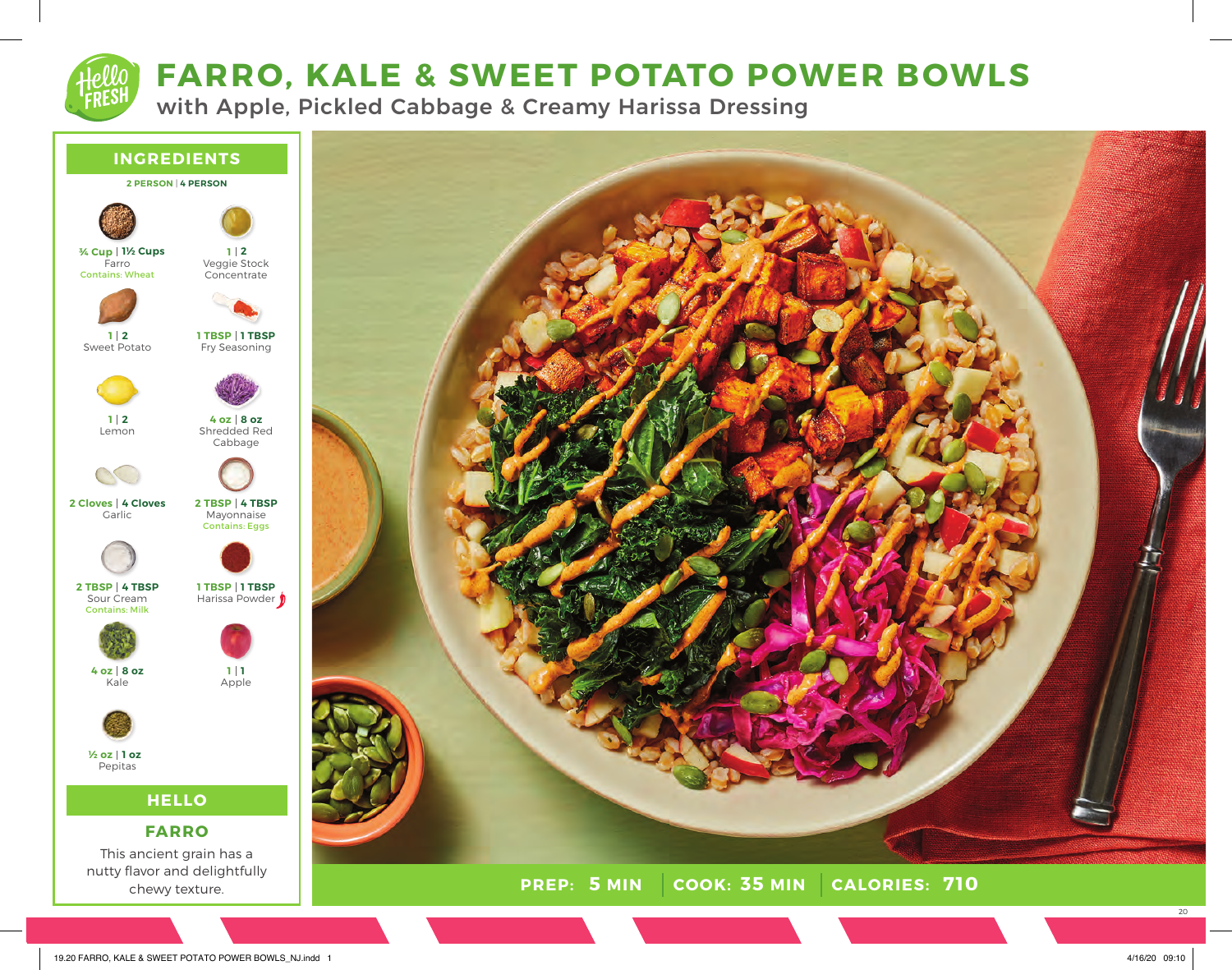# **FARRO, KALE & SWEET POTATO POWER BOWLS**

with Apple, Pickled Cabbage & Creamy Harissa Dressing



19.20 FARRO, KALE & SWEET POTATO POWER BOWLS\_NJ.indd 1 4/16/20 09:10